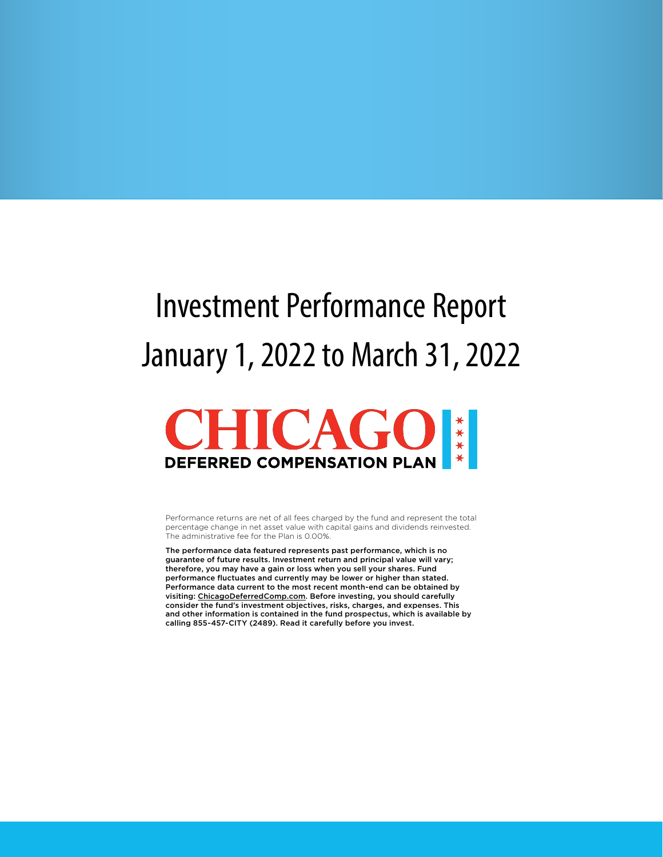## Investment Performance Report January 1, 2022 to March 31, 2022



Performance returns are net of all fees charged by the fund and represent the total percentage change in net asset value with capital gains and dividends reinvested. The administrative fee for the Plan is 0.00%.

The performance data featured represents past performance, which is no guarantee of future results. Investment return and principal value will vary; therefore, you may have a gain or loss when you sell your shares. Fund performance fluctuates and currently may be lower or higher than stated. Performance data current to the most recent month-end can be obtained by visiting: ChicagoDeferredComp.com. Before investing, you should carefully consider the fund's investment objectives, risks, charges, and expenses. This and other information is contained in the fund prospectus, which is available by calling 855-457-CITY (2489). Read it carefully before you invest.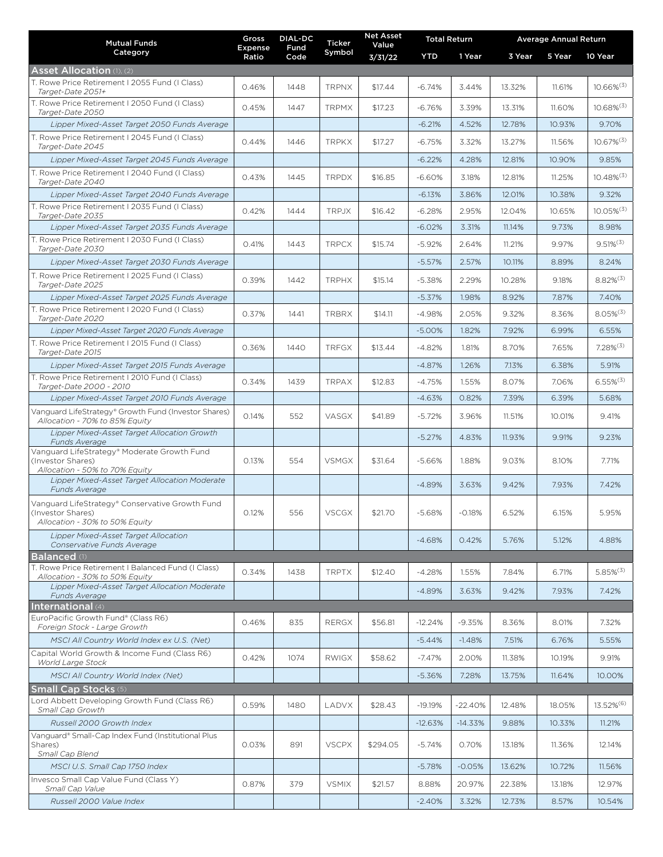| <b>Mutual Funds</b>                                                                                                                   | Gross<br>Expense | <b>DIAL-DC</b><br>Fund | Ticker       | <b>Net Asset</b><br>Value | <b>Total Return</b> |           | <b>Average Annual Return</b> |        |                          |
|---------------------------------------------------------------------------------------------------------------------------------------|------------------|------------------------|--------------|---------------------------|---------------------|-----------|------------------------------|--------|--------------------------|
| Category                                                                                                                              | Ratio            | Code                   | Symbol       | 3/31/22                   | <b>YTD</b>          | 1 Year    | 3 Year                       | 5 Year | 10 Year                  |
| <b>Asset Allocation</b> (1), (2)                                                                                                      |                  |                        |              |                           |                     |           |                              |        |                          |
| T. Rowe Price Retirement I 2055 Fund (I Class)<br>Target-Date 2051+                                                                   | 0.46%            | 1448                   | <b>TRPNX</b> | \$17.44                   | $-6.74%$            | 3.44%     | 13.32%                       | 11.61% | $10.66\%^{(3)}$          |
| T. Rowe Price Retirement I 2050 Fund (I Class)<br>Target-Date 2050                                                                    | 0.45%            | 1447                   | <b>TRPMX</b> | \$17.23                   | $-6.76%$            | 3.39%     | 13.31%                       | 11.60% | $10.68\%^{(3)}$          |
| Lipper Mixed-Asset Target 2050 Funds Average                                                                                          |                  |                        |              |                           | $-6.21%$            | 4.52%     | 12.78%                       | 10.93% | 9.70%                    |
| T. Rowe Price Retirement I 2045 Fund (I Class)<br>Target-Date 2045                                                                    | 0.44%            | 1446                   | <b>TRPKX</b> | \$17.27                   | $-6.75%$            | 3.32%     | 13.27%                       | 11.56% | $10.67\%^{(3)}$          |
| Lipper Mixed-Asset Target 2045 Funds Average                                                                                          |                  |                        |              |                           | $-6.22%$            | 4.28%     | 12.81%                       | 10.90% | 9.85%                    |
| T. Rowe Price Retirement I 2040 Fund (I Class)<br>Target-Date 2040                                                                    | 0.43%            | 1445                   | <b>TRPDX</b> | \$16.85                   | $-6.60%$            | 3.18%     | 12.81%                       | 11.25% | $10.48\%$ <sup>(3)</sup> |
| Lipper Mixed-Asset Target 2040 Funds Average                                                                                          |                  |                        |              |                           | $-6.13%$            | 3.86%     | 12.01%                       | 10.38% | 9.32%                    |
| T. Rowe Price Retirement I 2035 Fund (I Class)<br>Target-Date 2035                                                                    | 0.42%            | 1444                   | <b>TRPJX</b> | \$16.42                   | $-6.28%$            | 2.95%     | 12.04%                       | 10.65% | $10.05\%^{(3)}$          |
| Lipper Mixed-Asset Target 2035 Funds Average                                                                                          |                  |                        |              |                           | $-6.02%$            | 3.31%     | 11.14%                       | 9.73%  | 8.98%                    |
| T. Rowe Price Retirement I 2030 Fund (I Class)<br>Target-Date 2030                                                                    | 0.41%            | 1443                   | <b>TRPCX</b> | \$15.74                   | $-5.92%$            | 2.64%     | 11.21%                       | 9.97%  | $9.51\%^{(3)}$           |
| Lipper Mixed-Asset Target 2030 Funds Average                                                                                          |                  |                        |              |                           | $-5.57%$            | 2.57%     | 10.11%                       | 8.89%  | 8.24%                    |
| T. Rowe Price Retirement I 2025 Fund (I Class)<br>Target-Date 2025                                                                    | 0.39%            | 1442                   | <b>TRPHX</b> | \$15.14                   | $-5.38%$            | 2.29%     | 10.28%                       | 9.18%  | $8.82\%^{(3)}$           |
| Lipper Mixed-Asset Target 2025 Funds Average                                                                                          |                  |                        |              |                           | $-5.37%$            | 1.98%     | 8.92%                        | 7.87%  | 7.40%                    |
| T. Rowe Price Retirement I 2020 Fund (I Class)<br>Target-Date 2020                                                                    | 0.37%            | 1441                   | <b>TRBRX</b> | \$14.11                   | $-4.98%$            | 2.05%     | 9.32%                        | 8.36%  | $8.05\%^{(3)}$           |
| Lipper Mixed-Asset Target 2020 Funds Average                                                                                          |                  |                        |              |                           | $-5.00%$            | 1.82%     | 7.92%                        | 6.99%  | 6.55%                    |
| T. Rowe Price Retirement I 2015 Fund (I Class)<br>Target-Date 2015                                                                    | 0.36%            | 1440                   | <b>TRFGX</b> | \$13.44                   | $-4.82%$            | 1.81%     | 8.70%                        | 7.65%  | $7.28\%^{(3)}$           |
| Lipper Mixed-Asset Target 2015 Funds Average                                                                                          |                  |                        |              |                           | $-4.87%$            | 1.26%     | 7.13%                        | 6.38%  | 5.91%                    |
| T. Rowe Price Retirement I 2010 Fund (I Class)<br>Target-Date 2000 - 2010                                                             | 0.34%            | 1439                   | <b>TRPAX</b> | \$12.83                   | -4.75%              | 1.55%     | 8.07%                        | 7.06%  | $6.55\%^{(3)}$           |
| Lipper Mixed-Asset Target 2010 Funds Average                                                                                          |                  |                        |              |                           | $-4.63%$            | 0.82%     | 7.39%                        | 6.39%  | 5.68%                    |
| Vanguard LifeStrategy® Growth Fund (Investor Shares)<br>Allocation - 70% to 85% Equity                                                | 0.14%            | 552                    | VASGX        | \$41.89                   | $-5.72%$            | 3.96%     | 11.51%                       | 10.01% | 9.41%                    |
| Lipper Mixed-Asset Target Allocation Growth<br>Funds Average                                                                          |                  |                        |              |                           | $-5.27%$            | 4.83%     | 11.93%                       | 9.91%  | 9.23%                    |
| Vanguard LifeStrategy® Moderate Growth Fund<br>(Investor Shares)<br>Allocation - 50% to 70% Equity                                    | 0.13%            | 554                    | <b>VSMGX</b> | \$31.64                   | $-5.66%$            | 1.88%     | 9.03%                        | 8.10%  | 7.71%                    |
| Lipper Mixed-Asset Target Allocation Moderate<br>Funds Average                                                                        |                  |                        |              |                           | $-4.89%$            | 3.63%     | 9.42%                        | 7.93%  | 7.42%                    |
| Vanguard LifeStrategy® Conservative Growth Fund<br>(Investor Shares)<br>Allocation - 30% to 50% Equity                                | 0.12%            | 556                    | <b>VSCGX</b> | \$21.70                   | $-5.68%$            | $-0.18%$  | 6.52%                        | 6.15%  | 5.95%                    |
| <b>Lipper Mixed-Asset Target Allocation</b><br>Conservative Funds Average                                                             |                  |                        |              |                           | $-4.68%$            | 0.42%     | 5.76%                        | 5.12%  | 4.88%                    |
| <b>Balanced</b>                                                                                                                       |                  |                        |              |                           |                     |           |                              |        |                          |
| T. Rowe Price Retirement I Balanced Fund (I Class)<br>Allocation - 30% to 50% Equity<br>Lipper Mixed-Asset Target Allocation Moderate | 0.34%            | 1438                   | <b>TRPTX</b> | \$12.40                   | $-4.28%$            | 1.55%     | 7.84%                        | 6.71%  | $5.85\%^{(3)}$           |
| Funds Average                                                                                                                         |                  |                        |              |                           | $-4.89%$            | 3.63%     | 9.42%                        | 7.93%  | 7.42%                    |
| International (4)<br>EuroPacific Growth Fund® (Class R6)                                                                              |                  |                        |              |                           |                     |           |                              |        |                          |
| Foreign Stock - Large Growth                                                                                                          | 0.46%            | 835                    | <b>RERGX</b> | \$56.81                   | $-12.24%$           | $-9.35%$  | 8.36%                        | 8.01%  | 7.32%                    |
| MSCI All Country World Index ex U.S. (Net)                                                                                            |                  |                        |              |                           | $-5.44%$            | $-1.48%$  | 7.51%                        | 6.76%  | 5.55%                    |
| Capital World Growth & Income Fund (Class R6)<br>World Large Stock                                                                    | 0.42%            | 1074                   | <b>RWIGX</b> | \$58.62                   | $-7.47%$            | 2.00%     | 11.38%                       | 10.19% | 9.91%                    |
| MSCI All Country World Index (Net)                                                                                                    |                  |                        |              |                           | $-5.36%$            | 7.28%     | 13.75%                       | 11.64% | 10.00%                   |
| <b>Small Cap Stocks (5)</b><br>Lord Abbett Developing Growth Fund (Class R6)                                                          |                  |                        |              |                           |                     |           |                              |        |                          |
| Small Cap Growth                                                                                                                      | 0.59%            | 1480                   | LADVX        | \$28.43                   | $-19.19%$           | $-22.40%$ | 12.48%                       | 18.05% | 13.52% <sup>(6)</sup>    |
| Russell 2000 Growth Index                                                                                                             |                  |                        |              |                           | $-12.63%$           | $-14.33%$ | 9.88%                        | 10.33% | 11.21%                   |
| Vanguard® Small-Cap Index Fund (Institutional Plus<br>Shares)<br>Small Cap Blend                                                      | 0.03%            | 891                    | <b>VSCPX</b> | \$294.05                  | $-5.74%$            | 0.70%     | 13.18%                       | 11.36% | 12.14%                   |
| MSCI U.S. Small Cap 1750 Index                                                                                                        |                  |                        |              |                           | $-5.78%$            | $-0.05%$  | 13.62%                       | 10.72% | 11.56%                   |
| Invesco Small Cap Value Fund (Class Y)                                                                                                | 0.87%            | 379                    | <b>VSMIX</b> | \$21.57                   | 8.88%               | 20.97%    | 22.38%                       | 13.18% | 12.97%                   |
| Small Cap Value<br>Russell 2000 Value Index                                                                                           |                  |                        |              |                           | $-2.40%$            | 3.32%     | 12.73%                       | 8.57%  | 10.54%                   |
|                                                                                                                                       |                  |                        |              |                           |                     |           |                              |        |                          |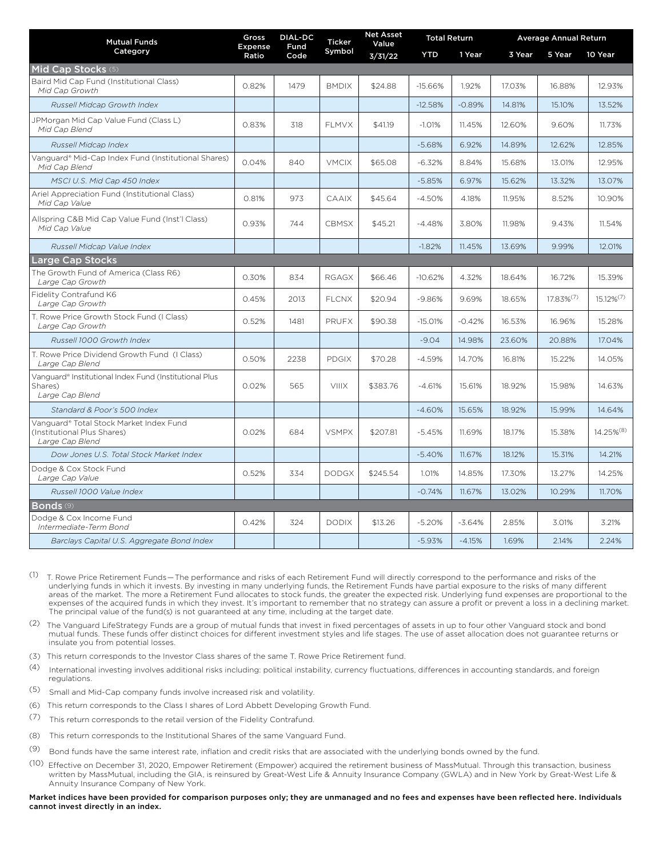| <b>Mutual Funds</b><br>Category                                                           | Gross<br>Expense<br>Ratio | <b>DIAL-DC</b><br>Fund<br>Code | <b>Ticker</b><br>Symbol | <b>Net Asset</b><br>Value | <b>Total Return</b> |          | <b>Average Annual Return</b> |                 |                       |
|-------------------------------------------------------------------------------------------|---------------------------|--------------------------------|-------------------------|---------------------------|---------------------|----------|------------------------------|-----------------|-----------------------|
|                                                                                           |                           |                                |                         | 3/31/22                   | <b>YTD</b>          | 1 Year   | 3 Year                       | 5 Year          | 10 Year               |
| Mid Cap Stocks (5)                                                                        |                           |                                |                         |                           |                     |          |                              |                 |                       |
| Baird Mid Cap Fund (Institutional Class)<br>Mid Cap Growth                                | 0.82%                     | 1479                           | <b>BMDIX</b>            | \$24.88                   | $-15.66%$           | 1.92%    | 17.03%                       | 16.88%          | 12.93%                |
| Russell Midcap Growth Index                                                               |                           |                                |                         |                           | $-12.58%$           | $-0.89%$ | 14.81%                       | 15.10%          | 13.52%                |
| JPMorgan Mid Cap Value Fund (Class L)<br>Mid Cap Blend                                    | 0.83%                     | 318                            | FLMVX                   | \$41.19                   | $-1.01%$            | 11.45%   | 12.60%                       | 9.60%           | 11.73%                |
| Russell Midcap Index                                                                      |                           |                                |                         |                           | $-5.68%$            | 6.92%    | 14.89%                       | 12.62%          | 12.85%                |
| Vanguard® Mid-Cap Index Fund (Institutional Shares)<br>Mid Cap Blend                      | 0.04%                     | 840                            | <b>VMCIX</b>            | \$65.08                   | $-6.32%$            | 8.84%    | 15.68%                       | 13.01%          | 12.95%                |
| MSCI U.S. Mid Cap 450 Index                                                               |                           |                                |                         |                           | $-5.85%$            | 6.97%    | 15.62%                       | 13.32%          | 13.07%                |
| Ariel Appreciation Fund (Institutional Class)<br>Mid Cap Value                            | 0.81%                     | 973                            | <b>CAAIX</b>            | \$45.64                   | $-4.50%$            | 4.18%    | 11.95%                       | 8.52%           | 10.90%                |
| Allspring C&B Mid Cap Value Fund (Inst'l Class)<br>Mid Cap Value                          | 0.93%                     | 744                            | <b>CBMSX</b>            | \$45.21                   | $-4.48%$            | 3.80%    | 11.98%                       | 9.43%           | 11.54%                |
| Russell Midcap Value Index                                                                |                           |                                |                         |                           | $-1.82%$            | 11.45%   | 13.69%                       | 9.99%           | 12.01%                |
| <b>Large Cap Stocks</b>                                                                   |                           |                                |                         |                           |                     |          |                              |                 |                       |
| The Growth Fund of America (Class R6)<br>Large Cap Growth                                 | 0.30%                     | 834                            | <b>RGAGX</b>            | \$66.46                   | $-10.62%$           | 4.32%    | 18.64%                       | 16.72%          | 15.39%                |
| Fidelity Contrafund K6<br>Large Cap Growth                                                | 0.45%                     | 2013                           | <b>FLCNX</b>            | \$20.94                   | $-9.86%$            | 9.69%    | 18.65%                       | $17.83\%^{(7)}$ | $15.12\%^{(7)}$       |
| T. Rowe Price Growth Stock Fund (I Class)<br>Large Cap Growth                             | 0.52%                     | 1481                           | PRUFX                   | \$90.38                   | $-15.01%$           | $-0.42%$ | 16.53%                       | 16.96%          | 15.28%                |
| Russell 1000 Growth Index                                                                 |                           |                                |                         |                           | $-9.04$             | 14.98%   | 23.60%                       | 20.88%          | 17.04%                |
| T. Rowe Price Dividend Growth Fund (I Class)<br>Large Cap Blend                           | 0.50%                     | 2238                           | <b>PDGIX</b>            | \$70.28                   | $-4.59%$            | 14.70%   | 16.81%                       | 15.22%          | 14.05%                |
| Vanguard® Institutional Index Fund (Institutional Plus<br>Shares)<br>Large Cap Blend      | 0.02%                     | 565                            | <b>VIIIX</b>            | \$383.76                  | $-4.61%$            | 15.61%   | 18.92%                       | 15.98%          | 14.63%                |
| Standard & Poor's 500 Index                                                               |                           |                                |                         |                           | $-4.60%$            | 15.65%   | 18.92%                       | 15.99%          | 14.64%                |
| Vanguard® Total Stock Market Index Fund<br>(Institutional Plus Shares)<br>Large Cap Blend | 0.02%                     | 684                            | <b>VSMPX</b>            | \$207.81                  | $-5.45%$            | 11.69%   | 18.17%                       | 15.38%          | 14.25% <sup>(8)</sup> |
| Dow Jones U.S. Total Stock Market Index                                                   |                           |                                |                         |                           | $-5.40%$            | 11.67%   | 18.12%                       | 15.31%          | 14.21%                |
| Dodge & Cox Stock Fund<br>Large Cap Value                                                 | 0.52%                     | 334                            | <b>DODGX</b>            | \$245.54                  | 1.01%               | 14.85%   | 17.30%                       | 13.27%          | 14.25%                |
| Russell 1000 Value Index                                                                  |                           |                                |                         |                           | $-0.74%$            | 11.67%   | 13.02%                       | 10.29%          | 11.70%                |
| Bonds (9)                                                                                 |                           |                                |                         |                           |                     |          |                              |                 |                       |
| Dodge & Cox Income Fund<br>Intermediate-Term Bond                                         | 0.42%                     | 324                            | <b>DODIX</b>            | \$13.26                   | $-5.20%$            | $-3.64%$ | 2.85%                        | 3.01%           | 3.21%                 |
| Barclays Capital U.S. Aggregate Bond Index                                                |                           |                                |                         |                           | $-5.93%$            | $-4.15%$ | 1.69%                        | 2.14%           | 2.24%                 |

(1) T. Rowe Price Retirement Funds—The performance and risks of each Retirement Fund will directly correspond to the performance and risks of the underlying funds in which it invests. By investing in many underlying funds, the Retirement Funds have partial exposure to the risks of many different areas of the market. The more a Retirement Fund allocates to stock funds, the greater the expected risk. Underlying fund expenses are proportional to the expenses of the acquired funds in which they invest. It's important to remember that no strategy can assure a profit or prevent a loss in a declining market. The principal value of the fund(s) is not guaranteed at any time, including at the target date.

(2) The Vanguard LifeStrategy Funds are a group of mutual funds that invest in fixed percentages of assets in up to four other Vanguard stock and bond mutual funds. These funds offer distinct choices for different investment styles and life stages. The use of asset allocation does not guarantee returns or insulate you from potential losses.

- (3) This return corresponds to the Investor Class shares of the same T. Rowe Price Retirement fund.
- (4) International investing involves additional risks including: political instability, currency fluctuations, differences in accounting standards, and foreign regulations.
- (5) Small and Mid-Cap company funds involve increased risk and volatility.
- (6) This return corresponds to the Class I shares of Lord Abbett Developing Growth Fund.
- (7) This return corresponds to the retail version of the Fidelity Contrafund.
- (8) This return corresponds to the Institutional Shares of the same Vanguard Fund.
- (9) Bond funds have the same interest rate, inflation and credit risks that are associated with the underlying bonds owned by the fund.
- (10) Effective on December 31, 2020, Empower Retirement (Empower) acquired the retirement business of MassMutual. Through this transaction, business written by MassMutual, including the GIA, is reinsured by Great-West Life & Annuity Insurance Company (GWLA) and in New York by Great-West Life & Annuity Insurance Company of New York.

Market indices have been provided for comparison purposes only; they are unmanaged and no fees and expenses have been reflected here. Individuals cannot invest directly in an index.